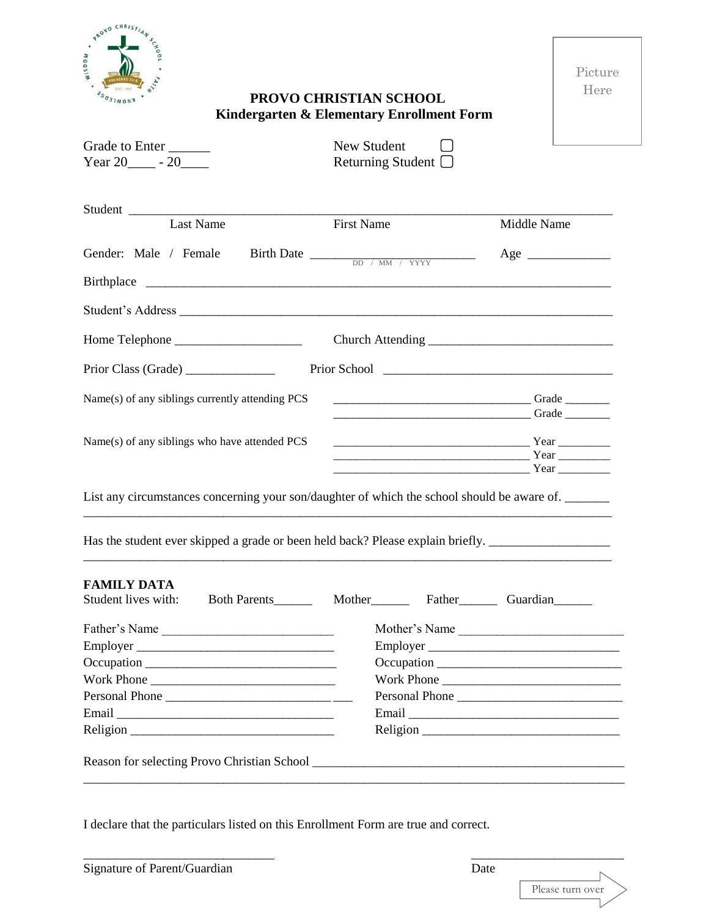

Picture Here

## **PROVO CHRISTIAN SCHOOL Kindergarten & Elementary Enrollment Form**

| Returning Student $\Box$                                                                                                                                                                                                             |                                                                                                      |
|--------------------------------------------------------------------------------------------------------------------------------------------------------------------------------------------------------------------------------------|------------------------------------------------------------------------------------------------------|
|                                                                                                                                                                                                                                      | Middle Name                                                                                          |
|                                                                                                                                                                                                                                      |                                                                                                      |
|                                                                                                                                                                                                                                      | $Age \_$                                                                                             |
|                                                                                                                                                                                                                                      |                                                                                                      |
|                                                                                                                                                                                                                                      |                                                                                                      |
|                                                                                                                                                                                                                                      |                                                                                                      |
|                                                                                                                                                                                                                                      |                                                                                                      |
|                                                                                                                                                                                                                                      |                                                                                                      |
| <u>Crade Communications and Crade Communications and Crade Communications and Crade Communications and Crade Communications and Crade Communications and Crade Communications and Crade Communications and Crade Communications </u> |                                                                                                      |
|                                                                                                                                                                                                                                      |                                                                                                      |
|                                                                                                                                                                                                                                      |                                                                                                      |
|                                                                                                                                                                                                                                      |                                                                                                      |
| List any circumstances concerning your son/daughter of which the school should be aware of.<br>Has the student ever skipped a grade or been held back? Please explain briefly.                                                       |                                                                                                      |
|                                                                                                                                                                                                                                      |                                                                                                      |
|                                                                                                                                                                                                                                      |                                                                                                      |
| Father's Name<br>$Emplayer$ <sub>__</sub>                                                                                                                                                                                            | Mother's Name                                                                                        |
|                                                                                                                                                                                                                                      |                                                                                                      |
|                                                                                                                                                                                                                                      |                                                                                                      |
|                                                                                                                                                                                                                                      |                                                                                                      |
|                                                                                                                                                                                                                                      | Work Phone<br>Personal Phone                                                                         |
|                                                                                                                                                                                                                                      | <b>First Name</b><br>Birth Date $\frac{1}{\text{DD} + \text{MM} + \text{YYYY}}$<br>Student's Address |

I declare that the particulars listed on this Enrollment Form are true and correct.

\_\_\_\_\_\_\_\_\_\_\_\_\_\_\_\_\_\_\_\_\_\_\_\_\_\_\_\_\_\_ \_\_\_\_\_\_\_\_\_\_\_\_\_\_\_\_\_\_\_\_\_\_\_\_